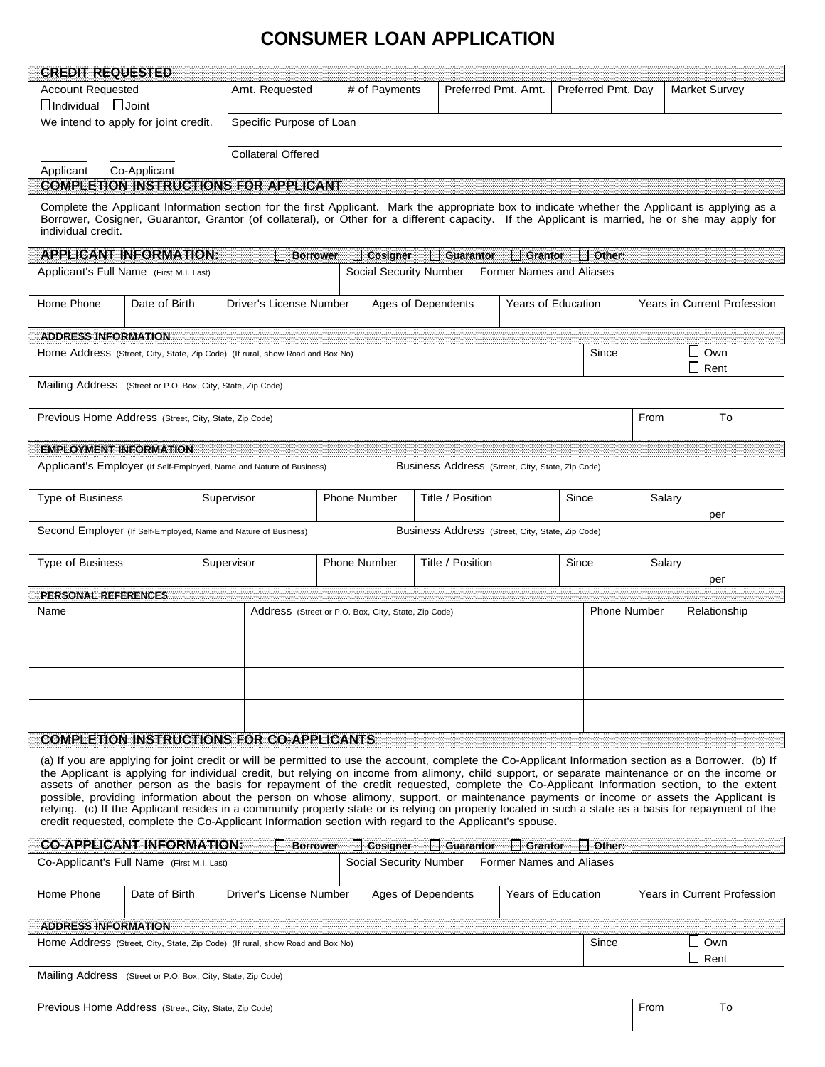## **CONSUMER LOAN APPLICATION**

| GREDI <b>e</b> REQUESTED                |                                                             |                                                                                                        |                     |                        |                             |                                                  |       |                    |        |                                                                                                                                                                                                                                                                                                                                                                                                                                                                                                                                                                                                                                                                                                                                                            |
|-----------------------------------------|-------------------------------------------------------------|--------------------------------------------------------------------------------------------------------|---------------------|------------------------|-----------------------------|--------------------------------------------------|-------|--------------------|--------|------------------------------------------------------------------------------------------------------------------------------------------------------------------------------------------------------------------------------------------------------------------------------------------------------------------------------------------------------------------------------------------------------------------------------------------------------------------------------------------------------------------------------------------------------------------------------------------------------------------------------------------------------------------------------------------------------------------------------------------------------------|
| <b>Account Requested</b>                |                                                             | Amt. Requested                                                                                         |                     | # of Payments          |                             | Preferred Pmt. Amt.                              |       | Preferred Pmt. Day |        | <b>Market Survey</b>                                                                                                                                                                                                                                                                                                                                                                                                                                                                                                                                                                                                                                                                                                                                       |
| <b>Individual</b>                       | <b>Joint</b>                                                |                                                                                                        |                     |                        |                             |                                                  |       |                    |        |                                                                                                                                                                                                                                                                                                                                                                                                                                                                                                                                                                                                                                                                                                                                                            |
|                                         | We intend to apply for joint credit.                        | Specific Purpose of Loan                                                                               |                     |                        |                             |                                                  |       |                    |        |                                                                                                                                                                                                                                                                                                                                                                                                                                                                                                                                                                                                                                                                                                                                                            |
|                                         |                                                             | <b>Collateral Offered</b>                                                                              |                     |                        |                             |                                                  |       |                    |        |                                                                                                                                                                                                                                                                                                                                                                                                                                                                                                                                                                                                                                                                                                                                                            |
| Applicant                               | Co-Applicant                                                |                                                                                                        |                     |                        |                             |                                                  |       |                    |        |                                                                                                                                                                                                                                                                                                                                                                                                                                                                                                                                                                                                                                                                                                                                                            |
|                                         |                                                             | <b>COMPLETION INSTRUCTIONS FOR APPEICANT</b>                                                           |                     |                        |                             |                                                  |       |                    |        |                                                                                                                                                                                                                                                                                                                                                                                                                                                                                                                                                                                                                                                                                                                                                            |
| individual credit.                      |                                                             |                                                                                                        |                     |                        |                             |                                                  |       |                    |        | Complete the Applicant Information section for the first Applicant. Mark the appropriate box to indicate whether the Applicant is applying as a<br>Borrower, Cosigner, Guarantor, Grantor (of collateral), or Other for a different capacity. If the Applicant is married, he or she may apply for                                                                                                                                                                                                                                                                                                                                                                                                                                                         |
|                                         | <b>APPLICANT INFORMATION:</b>                               |                                                                                                        | <b>Borrower</b>     | <b>Cosigner</b>        | $\overline{\Box}$ Guarantor | <b>Grantor</b>                                   |       | Other:             |        |                                                                                                                                                                                                                                                                                                                                                                                                                                                                                                                                                                                                                                                                                                                                                            |
| Applicant's Full Name (First M.I. Last) |                                                             |                                                                                                        |                     | Social Security Number |                             | <b>Former Names and Aliases</b>                  |       |                    |        |                                                                                                                                                                                                                                                                                                                                                                                                                                                                                                                                                                                                                                                                                                                                                            |
| Home Phone                              | Date of Birth                                               | Driver's License Number                                                                                |                     | Ages of Dependents     |                             | <b>Years of Education</b>                        |       |                    |        | <b>Years in Current Profession</b>                                                                                                                                                                                                                                                                                                                                                                                                                                                                                                                                                                                                                                                                                                                         |
| <b>ADDRESS INFORMATION</b>              |                                                             |                                                                                                        |                     |                        |                             |                                                  |       |                    |        |                                                                                                                                                                                                                                                                                                                                                                                                                                                                                                                                                                                                                                                                                                                                                            |
|                                         |                                                             | Home Address (Street, City, State, Zip Code) (If rural, show Road and Box No)                          |                     |                        |                             |                                                  |       | Since              |        | Own<br>$\mathcal{L}$<br>$\mathbf{1}$<br>Rent                                                                                                                                                                                                                                                                                                                                                                                                                                                                                                                                                                                                                                                                                                               |
|                                         | Mailing Address (Street or P.O. Box, City, State, Zip Code) |                                                                                                        |                     |                        |                             |                                                  |       |                    |        |                                                                                                                                                                                                                                                                                                                                                                                                                                                                                                                                                                                                                                                                                                                                                            |
|                                         | Previous Home Address (Street, City, State, Zip Code)       |                                                                                                        |                     |                        |                             |                                                  |       |                    | From   | To                                                                                                                                                                                                                                                                                                                                                                                                                                                                                                                                                                                                                                                                                                                                                         |
| <b>EMPLOYMENT INFORMATION</b>           |                                                             |                                                                                                        |                     |                        |                             |                                                  |       |                    |        |                                                                                                                                                                                                                                                                                                                                                                                                                                                                                                                                                                                                                                                                                                                                                            |
|                                         |                                                             | Applicant's Employer (If Self-Employed, Name and Nature of Business)                                   |                     |                        |                             | Business Address (Street, City, State, Zip Code) |       |                    |        |                                                                                                                                                                                                                                                                                                                                                                                                                                                                                                                                                                                                                                                                                                                                                            |
| <b>Type of Business</b>                 |                                                             | Supervisor                                                                                             | <b>Phone Number</b> |                        | Title / Position            |                                                  | Since |                    | Salary | per                                                                                                                                                                                                                                                                                                                                                                                                                                                                                                                                                                                                                                                                                                                                                        |
|                                         |                                                             | Second Employer (If Self-Employed, Name and Nature of Business)                                        |                     |                        |                             | Business Address (Street, City, State, Zip Code) |       |                    |        |                                                                                                                                                                                                                                                                                                                                                                                                                                                                                                                                                                                                                                                                                                                                                            |
| <b>Type of Business</b>                 | Supervisor                                                  | <b>Phone Number</b><br>Title / Position                                                                |                     |                        | Since<br>Salary<br>per      |                                                  |       |                    |        |                                                                                                                                                                                                                                                                                                                                                                                                                                                                                                                                                                                                                                                                                                                                                            |
| PERSONAL REFERENCES                     |                                                             |                                                                                                        |                     |                        |                             |                                                  |       |                    |        |                                                                                                                                                                                                                                                                                                                                                                                                                                                                                                                                                                                                                                                                                                                                                            |
| Name                                    |                                                             | Address (Street or P.O. Box, City, State, Zip Code)                                                    |                     |                        |                             |                                                  |       | Phone Number       |        | Relationship                                                                                                                                                                                                                                                                                                                                                                                                                                                                                                                                                                                                                                                                                                                                               |
|                                         |                                                             |                                                                                                        |                     |                        |                             |                                                  |       |                    |        |                                                                                                                                                                                                                                                                                                                                                                                                                                                                                                                                                                                                                                                                                                                                                            |
|                                         |                                                             |                                                                                                        |                     |                        |                             |                                                  |       |                    |        |                                                                                                                                                                                                                                                                                                                                                                                                                                                                                                                                                                                                                                                                                                                                                            |
|                                         |                                                             |                                                                                                        |                     |                        |                             |                                                  |       |                    |        |                                                                                                                                                                                                                                                                                                                                                                                                                                                                                                                                                                                                                                                                                                                                                            |
|                                         |                                                             | <b>COMPLETION INSTRUCTIONS FOR CO-APPLICANTS</b>                                                       |                     |                        |                             |                                                  |       |                    |        |                                                                                                                                                                                                                                                                                                                                                                                                                                                                                                                                                                                                                                                                                                                                                            |
|                                         |                                                             | credit requested, complete the Co-Applicant Information section with regard to the Applicant's spouse. |                     |                        |                             |                                                  |       |                    |        | (a) If you are applying for joint credit or will be permitted to use the account, complete the Co-Applicant Information section as a Borrower. (b) If<br>the Applicant is applying for individual credit, but relying on income from alimony, child support, or separate maintenance or on the income or<br>assets of another person as the basis for repayment of the credit requested, complete the Co-Applicant Information section, to the extent<br>possible, providing information about the person on whose alimony, support, or maintenance payments or income or assets the Applicant is<br>relying. (c) If the Applicant resides in a community property state or is relying on property located in such a state as a basis for repayment of the |
|                                         | <b>CO-APPLICANT INFORMATION:</b>                            |                                                                                                        | <b>Borrower</b>     | $\Box$ Cosigner        | $\Box$ Guarantor            | l I Grantor                                      |       | Other:             |        |                                                                                                                                                                                                                                                                                                                                                                                                                                                                                                                                                                                                                                                                                                                                                            |
|                                         | Co-Applicant's Full Name (First M.I. Last)                  |                                                                                                        |                     | Social Security Number |                             | Former Names and Aliases                         |       |                    |        |                                                                                                                                                                                                                                                                                                                                                                                                                                                                                                                                                                                                                                                                                                                                                            |

| Home Phone                 | Date of Birth | Driver's License Number                                                       | Ages of Dependents | Years of Education | Years in Current Profession |
|----------------------------|---------------|-------------------------------------------------------------------------------|--------------------|--------------------|-----------------------------|
| <b>ADDRESS INFORMATION</b> |               | Home Address (Street, City, State, Zip Code) (If rural, show Road and Box No) |                    | Since              | Own<br>I Rent               |

Mailing Address (Street or P.O. Box, City, State, Zip Code)

Previous Home Address (Street, City, State, Zip Code) **From** To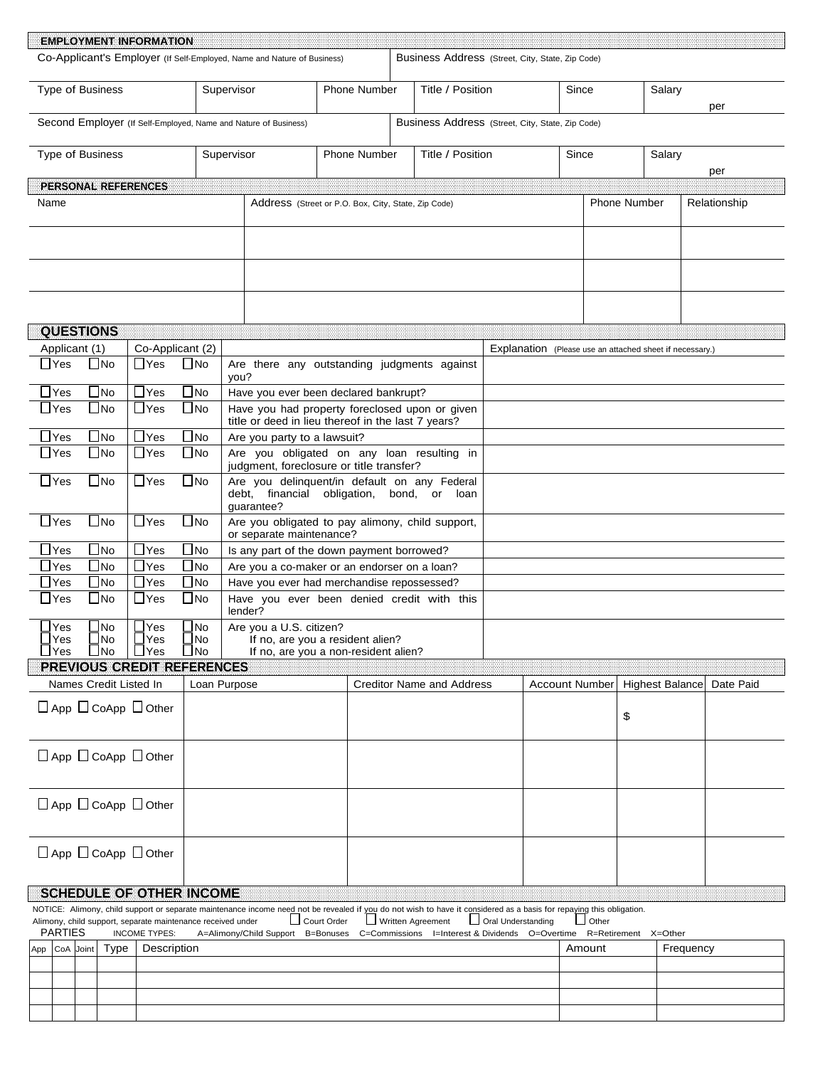| <b>EMPLOYMENT INFORMATION</b>                                                                                                                                        |                                 |                            |                                                                                                         |                                                                          |                                                                      |                                                          |                |        |                      |                        |              |
|----------------------------------------------------------------------------------------------------------------------------------------------------------------------|---------------------------------|----------------------------|---------------------------------------------------------------------------------------------------------|--------------------------------------------------------------------------|----------------------------------------------------------------------|----------------------------------------------------------|----------------|--------|----------------------|------------------------|--------------|
| Co-Applicant's Employer (If Self-Employed, Name and Nature of Business)                                                                                              |                                 |                            |                                                                                                         |                                                                          | Business Address (Street, City, State, Zip Code)                     |                                                          |                |        |                      |                        |              |
| <b>Type of Business</b>                                                                                                                                              |                                 | Supervisor                 |                                                                                                         | <b>Phone Number</b>                                                      | Title / Position                                                     |                                                          | Since          |        |                      | Salary                 | per          |
| Second Employer (If Self-Employed, Name and Nature of Business)                                                                                                      |                                 |                            |                                                                                                         |                                                                          | Business Address (Street, City, State, Zip Code)                     |                                                          |                |        |                      |                        |              |
| <b>Type of Business</b>                                                                                                                                              |                                 | Supervisor                 |                                                                                                         | <b>Phone Number</b>                                                      | Title / Position                                                     |                                                          | Since          |        |                      | Salary                 | per          |
| PERSONAL REFERENCES                                                                                                                                                  |                                 |                            |                                                                                                         |                                                                          |                                                                      |                                                          |                |        |                      |                        |              |
| Name                                                                                                                                                                 |                                 |                            |                                                                                                         | Address (Street or P.O. Box, City, State, Zip Code)                      |                                                                      |                                                          |                |        | <b>Phone Number</b>  |                        | Relationship |
|                                                                                                                                                                      |                                 |                            |                                                                                                         |                                                                          |                                                                      |                                                          |                |        |                      |                        |              |
|                                                                                                                                                                      |                                 |                            |                                                                                                         |                                                                          |                                                                      |                                                          |                |        |                      |                        |              |
| <b>QUESTIONS</b>                                                                                                                                                     |                                 |                            |                                                                                                         |                                                                          |                                                                      |                                                          |                |        |                      |                        |              |
| Applicant (1)                                                                                                                                                        | Co-Applicant (2)                |                            |                                                                                                         |                                                                          |                                                                      | Explanation (Please use an attached sheet if necessary.) |                |        |                      |                        |              |
| $\Box$ Yes<br>N <sub>o</sub>                                                                                                                                         | $\sqcup$ Yes                    | $\Box$ No<br>you?          | Are there any outstanding judgments against                                                             |                                                                          |                                                                      |                                                          |                |        |                      |                        |              |
| $\blacksquare$ No<br>$\sqcup$ Yes                                                                                                                                    | $\sqcup$ Yes                    | $\bigsqcup$ No             | Have you ever been declared bankrupt?                                                                   |                                                                          |                                                                      |                                                          |                |        |                      |                        |              |
| $\Box$ No<br>$\sqcup$ Yes                                                                                                                                            | $\sqcup$ Yes                    | _l No                      | Have you had property foreclosed upon or given<br>title or deed in lieu thereof in the last 7 years?    |                                                                          |                                                                      |                                                          |                |        |                      |                        |              |
| $\mathsf{\neg}$ Yes<br>$\blacksquare$ No                                                                                                                             | $\Box$ Yes                      | $\bigsqcup$ No             | Are you party to a lawsuit?                                                                             |                                                                          |                                                                      |                                                          |                |        |                      |                        |              |
| <b>INo</b><br>$\sqcup$ Yes                                                                                                                                           | $\sqcup$ Yes                    | $\Box$ No                  | Are you obligated on any loan resulting in<br>judgment, foreclosure or title transfer?                  |                                                                          |                                                                      |                                                          |                |        |                      |                        |              |
| $\Box$ No<br>$\sqcup$ Yes                                                                                                                                            | $\sqcup$ Yes                    | $\bigsqcup$ No             | Are you delinquent/in default on any Federal<br>debt, financial obligation, bond, or loan<br>guarantee? |                                                                          |                                                                      |                                                          |                |        |                      |                        |              |
| $\sqcup$ Yes<br>$\Box$ No                                                                                                                                            | $\sqcup$ Yes                    | $\bigsqcup$ No             | Are you obligated to pay alimony, child support,<br>or separate maintenance?                            |                                                                          |                                                                      |                                                          |                |        |                      |                        |              |
| $\Box$ Yes<br>$\blacksquare$ No                                                                                                                                      | $\Box$ Yes                      | $\Box$ No                  | Is any part of the down payment borrowed?                                                               |                                                                          |                                                                      |                                                          |                |        |                      |                        |              |
| Yes<br>N <sub>0</sub>                                                                                                                                                | $\Box$ Yes                      | $\blacksquare$ No          | Are you a co-maker or an endorser on a loan?                                                            |                                                                          |                                                                      |                                                          |                |        |                      |                        |              |
| N <sub>o</sub><br>Yes                                                                                                                                                | $\Box$ Yes                      | $\Box$ No                  | Have you ever had merchandise repossessed?                                                              |                                                                          |                                                                      |                                                          |                |        |                      |                        |              |
| <b>INo</b><br>$\sqcup$ Yes                                                                                                                                           | $\sqcup$ Yes                    | $\Box$ No                  | Have you ever been denied credit with this<br>lender?                                                   |                                                                          |                                                                      |                                                          |                |        |                      |                        |              |
| Yes<br>$\blacksquare$ No<br>Yes<br><b>No</b><br>$\Box$ Yes<br>$\Box$ No                                                                                              | Yes<br><b>Yes</b><br>$\Box$ Yes | No<br>l No<br>$\square$ No | Are you a U.S. citizen?                                                                                 | If no, are you a resident alien?<br>If no, are you a non-resident alien? |                                                                      |                                                          |                |        |                      |                        |              |
| PREVIOUS CREDIT REFERENCES                                                                                                                                           |                                 |                            |                                                                                                         |                                                                          |                                                                      |                                                          |                |        |                      |                        |              |
| Names Credit Listed In                                                                                                                                               |                                 | Loan Purpose               |                                                                                                         |                                                                          | <b>Creditor Name and Address</b>                                     |                                                          |                |        |                      | <b>Highest Balance</b> | Date Paid    |
|                                                                                                                                                                      |                                 |                            |                                                                                                         |                                                                          |                                                                      |                                                          | Account Number |        |                      |                        |              |
| $\Box$ App $\Box$ CoApp $\Box$ Other                                                                                                                                 |                                 |                            |                                                                                                         |                                                                          |                                                                      |                                                          |                |        | \$                   |                        |              |
| $\Box$ App $\Box$ CoApp $\Box$ Other                                                                                                                                 |                                 |                            |                                                                                                         |                                                                          |                                                                      |                                                          |                |        |                      |                        |              |
| $\Box$ App $\Box$ CoApp $\Box$ Other                                                                                                                                 |                                 |                            |                                                                                                         |                                                                          |                                                                      |                                                          |                |        |                      |                        |              |
| $\Box$ App $\Box$ CoApp $\Box$ Other                                                                                                                                 |                                 |                            |                                                                                                         |                                                                          |                                                                      |                                                          |                |        |                      |                        |              |
|                                                                                                                                                                      |                                 |                            |                                                                                                         |                                                                          |                                                                      |                                                          |                |        |                      |                        |              |
| SCHEDULE OF OTHER INCOME                                                                                                                                             |                                 |                            |                                                                                                         |                                                                          |                                                                      |                                                          |                |        |                      |                        |              |
| NOTICE: Alimony, child support or separate maintenance income need not be revealed if you do not wish to have it considered as a basis for repaying this obligation. |                                 |                            |                                                                                                         |                                                                          |                                                                      |                                                          |                |        |                      |                        |              |
| Alimony, child support, separate maintenance received under<br><b>PARTIES</b>                                                                                        | <b>INCOME TYPES:</b>            |                            | A=Alimony/Child Support                                                                                 | Court Order<br>B=Bonuses                                                 | Written Agreement<br>C=Commissions I=Interest & Dividends O=Overtime | Oral Understanding                                       |                | Other  | R=Retirement X=Other |                        |              |
| CoA Joint<br>Type                                                                                                                                                    | Description                     |                            |                                                                                                         |                                                                          |                                                                      |                                                          |                | Amount |                      | Frequency              |              |
| App                                                                                                                                                                  |                                 |                            |                                                                                                         |                                                                          |                                                                      |                                                          |                |        |                      |                        |              |
|                                                                                                                                                                      |                                 |                            |                                                                                                         |                                                                          |                                                                      |                                                          |                |        |                      |                        |              |
|                                                                                                                                                                      |                                 |                            |                                                                                                         |                                                                          |                                                                      |                                                          |                |        |                      |                        |              |
|                                                                                                                                                                      |                                 |                            |                                                                                                         |                                                                          |                                                                      |                                                          |                |        |                      |                        |              |
|                                                                                                                                                                      |                                 |                            |                                                                                                         |                                                                          |                                                                      |                                                          |                |        |                      |                        |              |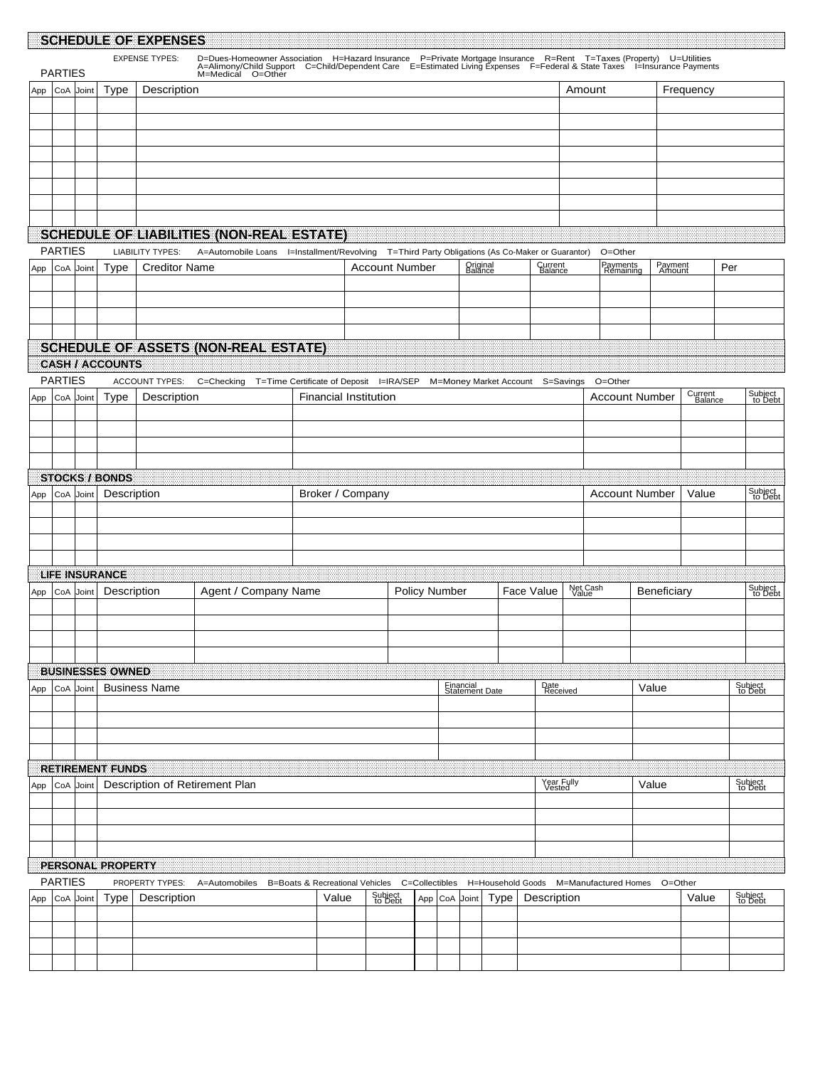|     |                |           |                          | SCHEDULE OF EXPENSES           |                                                                                                                                                                                                                                   |                                          |                    |                       |           |                                  |             |                      |                   |                                        |                   |                    |     |                    |
|-----|----------------|-----------|--------------------------|--------------------------------|-----------------------------------------------------------------------------------------------------------------------------------------------------------------------------------------------------------------------------------|------------------------------------------|--------------------|-----------------------|-----------|----------------------------------|-------------|----------------------|-------------------|----------------------------------------|-------------------|--------------------|-----|--------------------|
|     |                |           |                          | <b>EXPENSE TYPES:</b>          | D=Dues-Homeowner Association H=Hazard Insurance P=Private Mortgage Insurance R=Rent T=Taxes (Property) U=Utilities<br>A=Alimony/Child Support C=Child/Dependent Care E=Estimated Living Expenses F=Federal & State Taxes I=Insura |                                          |                    |                       |           |                                  |             |                      |                   |                                        |                   |                    |     |                    |
|     | <b>PARTIES</b> |           |                          |                                | M=Medical O=Other                                                                                                                                                                                                                 |                                          |                    |                       |           |                                  |             |                      |                   |                                        |                   |                    |     |                    |
| App |                | CoA Joint | Type                     | Description                    |                                                                                                                                                                                                                                   |                                          |                    |                       |           |                                  |             |                      | Amount            |                                        |                   | Frequency          |     |                    |
|     |                |           |                          |                                |                                                                                                                                                                                                                                   |                                          |                    |                       |           |                                  |             |                      |                   |                                        |                   |                    |     |                    |
|     |                |           |                          |                                |                                                                                                                                                                                                                                   |                                          |                    |                       |           |                                  |             |                      |                   |                                        |                   |                    |     |                    |
|     |                |           |                          |                                |                                                                                                                                                                                                                                   |                                          |                    |                       |           |                                  |             |                      |                   |                                        |                   |                    |     |                    |
|     |                |           |                          |                                |                                                                                                                                                                                                                                   |                                          |                    |                       |           |                                  |             |                      |                   |                                        |                   |                    |     |                    |
|     |                |           |                          |                                |                                                                                                                                                                                                                                   |                                          |                    |                       |           |                                  |             |                      |                   |                                        |                   |                    |     |                    |
|     |                |           |                          |                                |                                                                                                                                                                                                                                   |                                          |                    |                       |           |                                  |             |                      |                   |                                        |                   |                    |     |                    |
|     |                |           |                          |                                |                                                                                                                                                                                                                                   |                                          |                    |                       |           |                                  |             |                      |                   |                                        |                   |                    |     |                    |
|     |                |           |                          |                                | <b>SCHEDULE OF LIABILITIES (NON-REAL ESTATE)</b>                                                                                                                                                                                  |                                          |                    |                       |           |                                  |             |                      |                   |                                        |                   |                    |     |                    |
|     | <b>PARTIES</b> |           |                          | <b>LIABILITY TYPES:</b>        | A=Automobile Loans l=Installment/Revolving T=Third Party Obligations (As Co-Maker or Guarantor)                                                                                                                                   |                                          |                    |                       |           |                                  |             |                      |                   | O=Other                                |                   |                    |     |                    |
| App |                | CoA Joint | <b>Type</b>              | <b>Creditor Name</b>           |                                                                                                                                                                                                                                   |                                          |                    | <b>Account Number</b> |           | Original<br>Balance              |             | Current<br>Balance   |                   | Payments<br>Remaining                  | Payment<br>Amount |                    | Per |                    |
|     |                |           |                          |                                |                                                                                                                                                                                                                                   |                                          |                    |                       |           |                                  |             |                      |                   |                                        |                   |                    |     |                    |
|     |                |           |                          |                                |                                                                                                                                                                                                                                   |                                          |                    |                       |           |                                  |             |                      |                   |                                        |                   |                    |     |                    |
|     |                |           |                          |                                |                                                                                                                                                                                                                                   |                                          |                    |                       |           |                                  |             |                      |                   |                                        |                   |                    |     |                    |
|     |                |           |                          |                                | <b>SCHEDULE OF ASSETS (NON-REAL ESTATE)</b>                                                                                                                                                                                       |                                          |                    |                       |           |                                  |             |                      |                   |                                        |                   |                    |     |                    |
|     |                |           | <b>CASH / ACCOUNTS</b>   |                                |                                                                                                                                                                                                                                   |                                          |                    |                       |           |                                  |             |                      |                   |                                        |                   |                    |     |                    |
|     | <b>PARTIES</b> |           |                          | ACCOUNT TYPES:                 | C=Checking T=Time Certificate of Deposit I=IRA/SEP                                                                                                                                                                                |                                          |                    |                       |           | M=Money Market Account S=Savings |             |                      |                   | O=Other                                |                   |                    |     |                    |
| App |                | CoA Joint | <b>Type</b>              | Description                    |                                                                                                                                                                                                                                   | <b>Financial Institution</b>             |                    |                       |           |                                  |             |                      |                   | <b>Account Number</b>                  |                   | Current<br>Balance |     | Subject<br>to Debt |
|     |                |           |                          |                                |                                                                                                                                                                                                                                   |                                          |                    |                       |           |                                  |             |                      |                   |                                        |                   |                    |     |                    |
|     |                |           |                          |                                |                                                                                                                                                                                                                                   |                                          |                    |                       |           |                                  |             |                      |                   |                                        |                   |                    |     |                    |
|     |                |           |                          |                                |                                                                                                                                                                                                                                   |                                          |                    |                       |           |                                  |             |                      |                   |                                        |                   |                    |     |                    |
|     |                |           |                          |                                |                                                                                                                                                                                                                                   |                                          |                    |                       |           |                                  |             |                      |                   |                                        |                   |                    |     |                    |
|     |                |           | <b>STOCKS / BONDS</b>    |                                |                                                                                                                                                                                                                                   |                                          |                    |                       |           |                                  |             |                      |                   |                                        |                   |                    |     |                    |
| App |                | CoA Joint | Description              |                                |                                                                                                                                                                                                                                   | Broker / Company                         |                    |                       |           |                                  |             |                      |                   | <b>Account Number</b>                  |                   | Value              |     | Subject<br>to Debt |
|     |                |           |                          |                                |                                                                                                                                                                                                                                   |                                          |                    |                       |           |                                  |             |                      |                   |                                        |                   |                    |     |                    |
|     |                |           |                          |                                |                                                                                                                                                                                                                                   |                                          |                    |                       |           |                                  |             |                      |                   |                                        |                   |                    |     |                    |
|     |                |           |                          |                                |                                                                                                                                                                                                                                   |                                          |                    |                       |           |                                  |             |                      |                   |                                        |                   |                    |     |                    |
|     |                |           | <b>LIFE INSURANCE</b>    |                                |                                                                                                                                                                                                                                   |                                          |                    |                       |           |                                  |             |                      |                   |                                        |                   |                    |     |                    |
| App |                | CoA Joint | Description              |                                | Agent / Company Name                                                                                                                                                                                                              |                                          |                    | <b>Policy Number</b>  |           |                                  | Face Value  |                      | Net Cash<br>Value |                                        | Beneficiary       |                    |     | Subject<br>to Debt |
|     |                |           |                          |                                |                                                                                                                                                                                                                                   |                                          |                    |                       |           |                                  |             |                      |                   |                                        |                   |                    |     |                    |
|     |                |           |                          |                                |                                                                                                                                                                                                                                   |                                          |                    |                       |           |                                  |             |                      |                   |                                        |                   |                    |     |                    |
|     |                |           |                          |                                |                                                                                                                                                                                                                                   |                                          |                    |                       |           |                                  |             |                      |                   |                                        |                   |                    |     |                    |
|     |                |           |                          |                                |                                                                                                                                                                                                                                   |                                          |                    |                       |           |                                  |             |                      |                   |                                        |                   |                    |     |                    |
|     |                |           | <b>BUSINESSES OWNED</b>  | <b>Business Name</b>           |                                                                                                                                                                                                                                   |                                          |                    |                       |           |                                  |             |                      |                   |                                        |                   |                    |     | Subject<br>to Debt |
| App | CoA            | Joint     |                          |                                |                                                                                                                                                                                                                                   |                                          |                    |                       |           | Financial<br>Statement Date      |             | Date<br>Received     |                   |                                        | Value             |                    |     |                    |
|     |                |           |                          |                                |                                                                                                                                                                                                                                   |                                          |                    |                       |           |                                  |             |                      |                   |                                        |                   |                    |     |                    |
|     |                |           |                          |                                |                                                                                                                                                                                                                                   |                                          |                    |                       |           |                                  |             |                      |                   |                                        |                   |                    |     |                    |
|     |                |           |                          |                                |                                                                                                                                                                                                                                   |                                          |                    |                       |           |                                  |             |                      |                   |                                        |                   |                    |     |                    |
|     |                |           | <b>RETIREMENT FUNDS</b>  |                                |                                                                                                                                                                                                                                   |                                          |                    |                       |           |                                  |             |                      |                   |                                        |                   |                    |     |                    |
| App | CoA            | Joint     |                          |                                | Description of Retirement Plan                                                                                                                                                                                                    |                                          |                    |                       |           |                                  |             | Year Fully<br>Vested |                   |                                        | Value             |                    |     | Subject<br>to Debt |
|     |                |           |                          |                                |                                                                                                                                                                                                                                   |                                          |                    |                       |           |                                  |             |                      |                   |                                        |                   |                    |     |                    |
|     |                |           |                          |                                |                                                                                                                                                                                                                                   |                                          |                    |                       |           |                                  |             |                      |                   |                                        |                   |                    |     |                    |
|     |                |           |                          |                                |                                                                                                                                                                                                                                   |                                          |                    |                       |           |                                  |             |                      |                   |                                        |                   |                    |     |                    |
|     |                |           |                          |                                |                                                                                                                                                                                                                                   |                                          |                    |                       |           |                                  |             |                      |                   |                                        |                   |                    |     |                    |
|     |                |           | <b>PERSONAL PROPERTY</b> |                                |                                                                                                                                                                                                                                   |                                          |                    |                       |           |                                  |             |                      |                   |                                        |                   |                    |     |                    |
|     | <b>PARTIES</b> |           | Type                     | PROPERTY TYPES:<br>Description | A=Automobiles                                                                                                                                                                                                                     | B=Boats & Recreational Vehicles<br>Value | Subject<br>to Debt | C=Collectibles        |           |                                  | <b>Type</b> | Description          |                   | H=Household Goods M=Manufactured Homes |                   | O=Other<br>Value   |     | Subject<br>to Debt |
| App | CoA            | Joint     |                          |                                |                                                                                                                                                                                                                                   |                                          |                    | App                   | CoA Joint |                                  |             |                      |                   |                                        |                   |                    |     |                    |